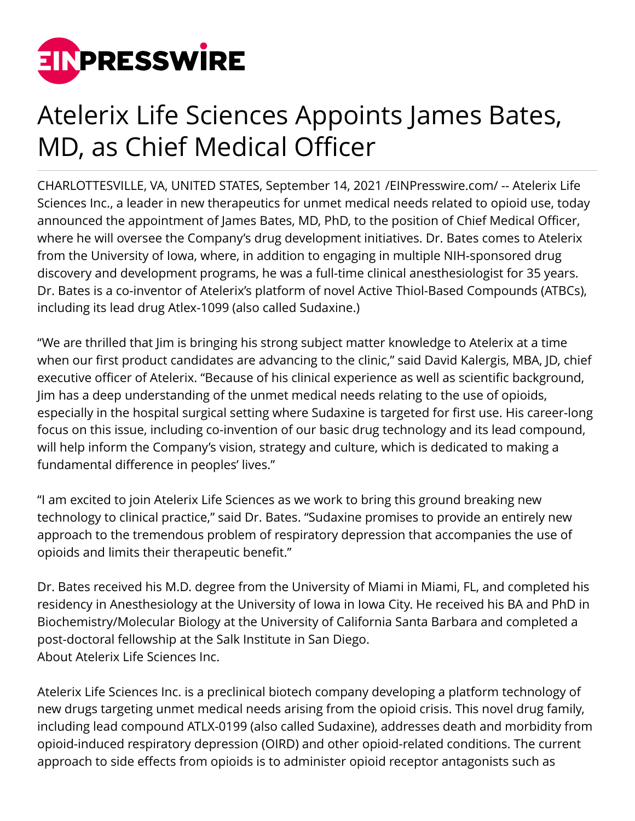

## Atelerix Life Sciences Appoints James Bates, MD, as Chief Medical Officer

CHARLOTTESVILLE, VA, UNITED STATES, September 14, 2021 /[EINPresswire.com](http://www.einpresswire.com)/ -- Atelerix Life Sciences Inc., a leader in new therapeutics for unmet medical needs related to opioid use, today announced the appointment of James Bates, MD, PhD, to the position of Chief Medical Officer, where he will oversee the Company's drug development initiatives. Dr. Bates comes to Atelerix from the University of Iowa, where, in addition to engaging in multiple NIH-sponsored drug discovery and development programs, he was a full-time clinical anesthesiologist for 35 years. Dr. Bates is a co-inventor of Atelerix's platform of novel Active Thiol-Based Compounds (ATBCs), including its lead drug Atlex-1099 (also called Sudaxine.)

"We are thrilled that Jim is bringing his strong subject matter knowledge to Atelerix at a time when our first product candidates are advancing to the clinic," said David Kalergis, MBA, JD, chief executive officer of Atelerix. "Because of his clinical experience as well as scientific background, Jim has a deep understanding of the unmet medical needs relating to the use of opioids, especially in the hospital surgical setting where Sudaxine is targeted for first use. His career-long focus on this issue, including co-invention of our basic drug technology and its lead compound, will help inform the Company's vision, strategy and culture, which is dedicated to making a fundamental difference in peoples' lives."

"I am excited to join Atelerix Life Sciences as we work to bring this ground breaking new technology to clinical practice," said Dr. Bates. "Sudaxine promises to provide an entirely new approach to the tremendous problem of respiratory depression that accompanies the use of opioids and limits their therapeutic benefit."

Dr. Bates received his M.D. degree from the University of Miami in Miami, FL, and completed his residency in Anesthesiology at the University of Iowa in Iowa City. He received his BA and PhD in Biochemistry/Molecular Biology at the University of California Santa Barbara and completed a post-doctoral fellowship at the Salk Institute in San Diego. About Atelerix Life Sciences Inc.

Atelerix Life Sciences Inc. is a preclinical biotech company developing a platform technology of new drugs targeting unmet medical needs arising from the opioid crisis. This novel drug family, including lead compound ATLX-0199 (also called Sudaxine), addresses death and morbidity from opioid-induced respiratory depression (OIRD) and other opioid-related conditions. The current approach to side effects from opioids is to administer opioid receptor antagonists such as